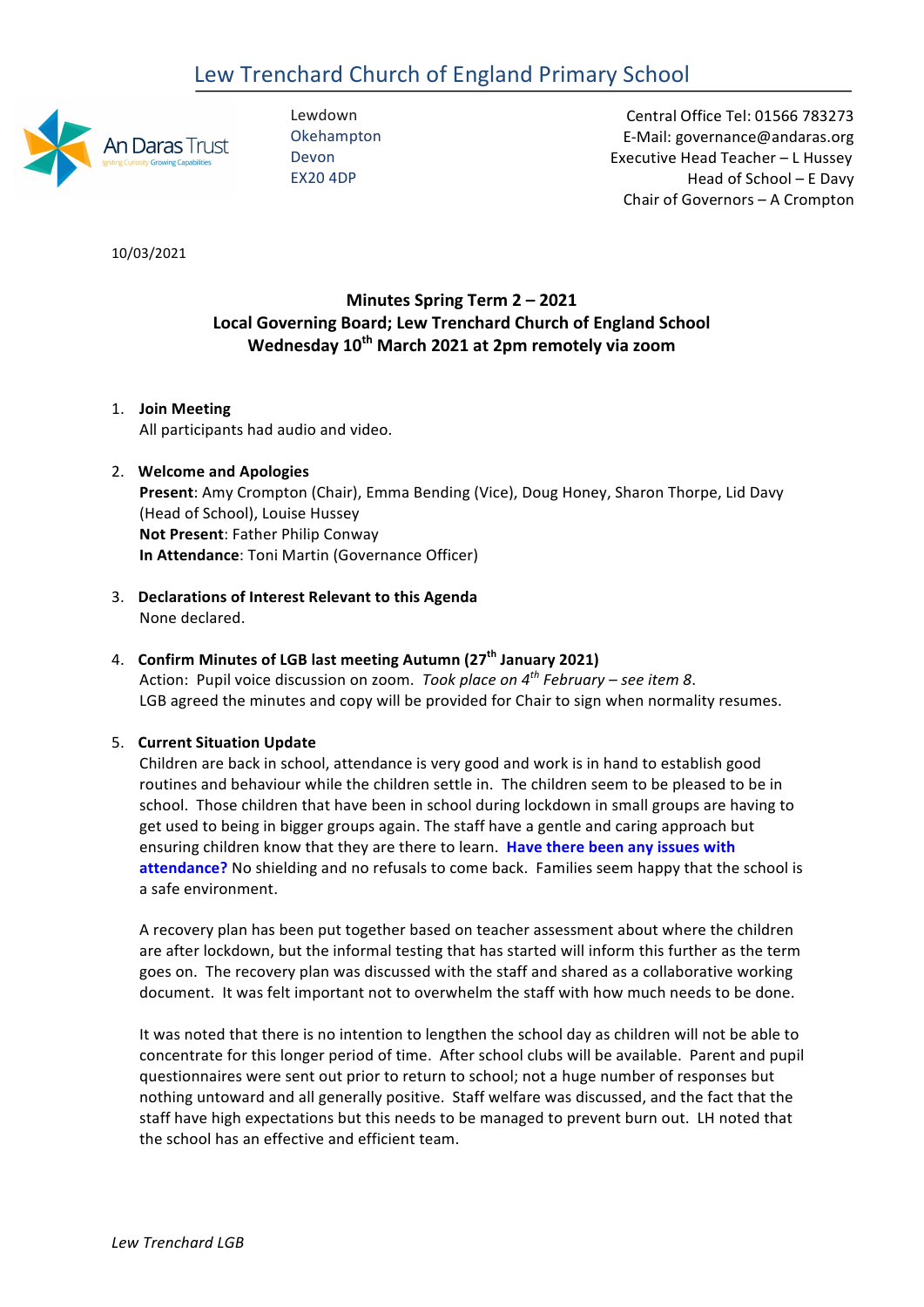# Lew Trenchard Church of England Primary School



Lewdown **Okehampton** Devon EX20 4DP

 Central Office Tel: 01566 783273 E-Mail: governance@andaras.org Executive Head Teacher - L Hussey Head of School – E Davy Chair of Governors - A Crompton

10/03/2021 

# **Minutes Spring Term 2 – 2021 Local Governing Board; Lew Trenchard Church of England School Wednesday 10th March 2021 at 2pm remotely via zoom**

1. **Join Meeting** All participants had audio and video.

# 2. **Welcome and Apologies**

**Present**: Amy Crompton (Chair), Emma Bending (Vice), Doug Honey, Sharon Thorpe, Lid Davy (Head of School), Louise Hussey **Not Present**: Father Philip Conway **In Attendance**: Toni Martin (Governance Officer)

3. **Declarations of Interest Relevant to this Agenda** None declared.

# 4. **Confirm Minutes of LGB last meeting Autumn (27th January 2021)**

Action: Pupil voice discussion on zoom. *Took place on* 4<sup>th</sup> *February* – see item 8. LGB agreed the minutes and copy will be provided for Chair to sign when normality resumes.

# 5. **Current Situation Update**

Children are back in school, attendance is very good and work is in hand to establish good routines and behaviour while the children settle in. The children seem to be pleased to be in school. Those children that have been in school during lockdown in small groups are having to get used to being in bigger groups again. The staff have a gentle and caring approach but ensuring children know that they are there to learn. **Have there been any issues with** attendance? No shielding and no refusals to come back. Families seem happy that the school is a safe environment.

A recovery plan has been put together based on teacher assessment about where the children are after lockdown, but the informal testing that has started will inform this further as the term goes on. The recovery plan was discussed with the staff and shared as a collaborative working document. It was felt important not to overwhelm the staff with how much needs to be done.

It was noted that there is no intention to lengthen the school day as children will not be able to concentrate for this longer period of time. After school clubs will be available. Parent and pupil questionnaires were sent out prior to return to school; not a huge number of responses but nothing untoward and all generally positive. Staff welfare was discussed, and the fact that the staff have high expectations but this needs to be managed to prevent burn out. LH noted that the school has an effective and efficient team.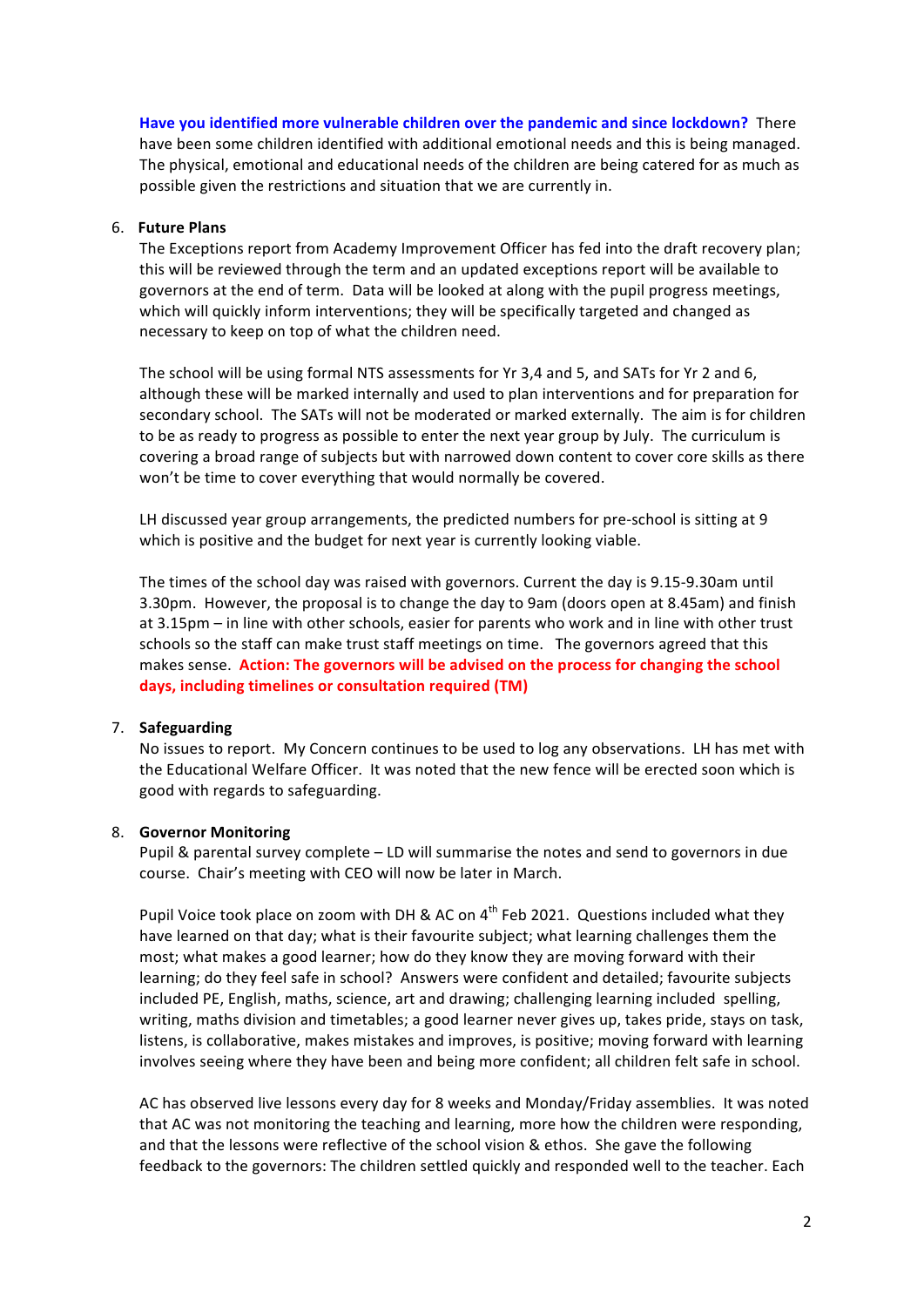**Have you identified more vulnerable children over the pandemic and since lockdown?** There have been some children identified with additional emotional needs and this is being managed. The physical, emotional and educational needs of the children are being catered for as much as possible given the restrictions and situation that we are currently in.

## 6. **Future Plans**

The Exceptions report from Academy Improvement Officer has fed into the draft recovery plan; this will be reviewed through the term and an updated exceptions report will be available to governors at the end of term. Data will be looked at along with the pupil progress meetings, which will quickly inform interventions; they will be specifically targeted and changed as necessary to keep on top of what the children need.

The school will be using formal NTS assessments for Yr 3,4 and 5, and SATs for Yr 2 and 6, although these will be marked internally and used to plan interventions and for preparation for secondary school. The SATs will not be moderated or marked externally. The aim is for children to be as ready to progress as possible to enter the next year group by July. The curriculum is covering a broad range of subjects but with narrowed down content to cover core skills as there won't be time to cover everything that would normally be covered. 

LH discussed year group arrangements, the predicted numbers for pre-school is sitting at 9 which is positive and the budget for next year is currently looking viable. 

The times of the school day was raised with governors. Current the day is 9.15-9.30am until 3.30pm. However, the proposal is to change the day to 9am (doors open at 8.45am) and finish at 3.15pm – in line with other schools, easier for parents who work and in line with other trust schools so the staff can make trust staff meetings on time. The governors agreed that this makes sense. **Action: The governors will be advised on the process for changing the school days, including timelines or consultation required (TM)**

#### 7. **Safeguarding**

No issues to report. My Concern continues to be used to log any observations. LH has met with the Educational Welfare Officer. It was noted that the new fence will be erected soon which is good with regards to safeguarding.

#### 8. **Governor Monitoring**

Pupil & parental survey complete – LD will summarise the notes and send to governors in due course. Chair's meeting with CEO will now be later in March.

Pupil Voice took place on zoom with DH & AC on  $4^{th}$  Feb 2021. Questions included what they have learned on that day; what is their favourite subject; what learning challenges them the most; what makes a good learner; how do they know they are moving forward with their learning; do they feel safe in school? Answers were confident and detailed; favourite subjects included PE, English, maths, science, art and drawing; challenging learning included spelling, writing, maths division and timetables; a good learner never gives up, takes pride, stays on task, listens, is collaborative, makes mistakes and improves, is positive; moving forward with learning involves seeing where they have been and being more confident; all children felt safe in school.

AC has observed live lessons every day for 8 weeks and Monday/Friday assemblies. It was noted that AC was not monitoring the teaching and learning, more how the children were responding, and that the lessons were reflective of the school vision & ethos. She gave the following feedback to the governors: The children settled quickly and responded well to the teacher. Each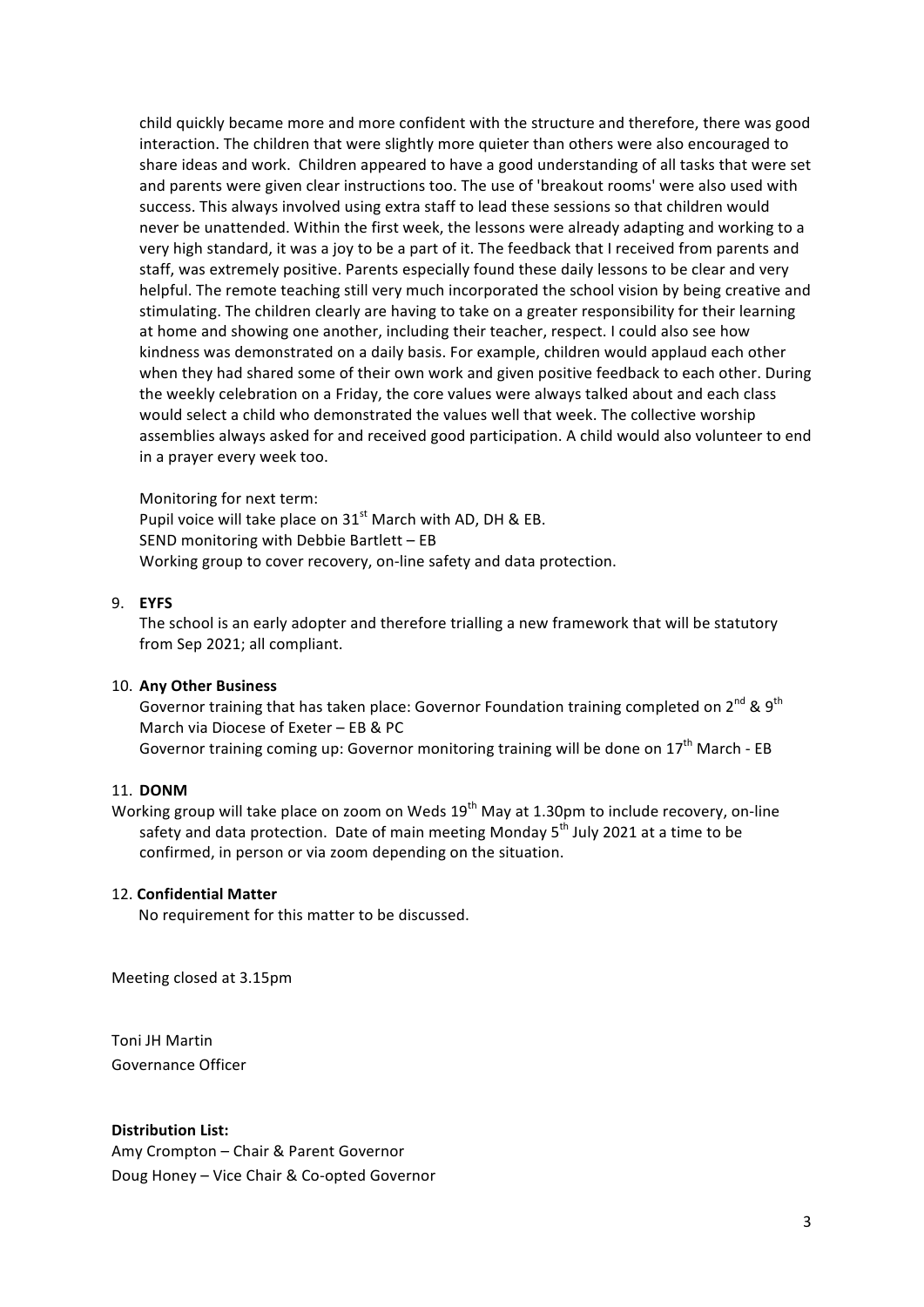child quickly became more and more confident with the structure and therefore, there was good interaction. The children that were slightly more quieter than others were also encouraged to share ideas and work. Children appeared to have a good understanding of all tasks that were set and parents were given clear instructions too. The use of 'breakout rooms' were also used with success. This always involved using extra staff to lead these sessions so that children would never be unattended. Within the first week, the lessons were already adapting and working to a very high standard, it was a joy to be a part of it. The feedback that I received from parents and staff, was extremely positive. Parents especially found these daily lessons to be clear and very helpful. The remote teaching still very much incorporated the school vision by being creative and stimulating. The children clearly are having to take on a greater responsibility for their learning at home and showing one another, including their teacher, respect. I could also see how kindness was demonstrated on a daily basis. For example, children would applaud each other when they had shared some of their own work and given positive feedback to each other. During the weekly celebration on a Friday, the core values were always talked about and each class would select a child who demonstrated the values well that week. The collective worship assemblies always asked for and received good participation. A child would also volunteer to end in a prayer every week too.

Monitoring for next term: Pupil voice will take place on  $31<sup>st</sup>$  March with AD, DH & EB. SEND monitoring with Debbie Bartlett – EB Working group to cover recovery, on-line safety and data protection.

# 9. **EYFS**

The school is an early adopter and therefore trialling a new framework that will be statutory from Sep 2021; all compliant.

## 10. **Any Other Business**

Governor training that has taken place: Governor Foundation training completed on  $2^{nd}$  &  $9^{th}$ March via Diocese of Exeter – EB & PC Governor training coming up: Governor monitoring training will be done on  $17<sup>th</sup>$  March - EB

## 11. **DONM**

Working group will take place on zoom on Weds 19<sup>th</sup> May at 1.30pm to include recovery, on-line safety and data protection. Date of main meeting Monday 5<sup>th</sup> July 2021 at a time to be confirmed, in person or via zoom depending on the situation.

## 12. **Confidential Matter**

No requirement for this matter to be discussed.

Meeting closed at 3.15pm

Toni JH Martin Governance Officer

**Distribution List:**

Amy Crompton - Chair & Parent Governor Doug Honey - Vice Chair & Co-opted Governor